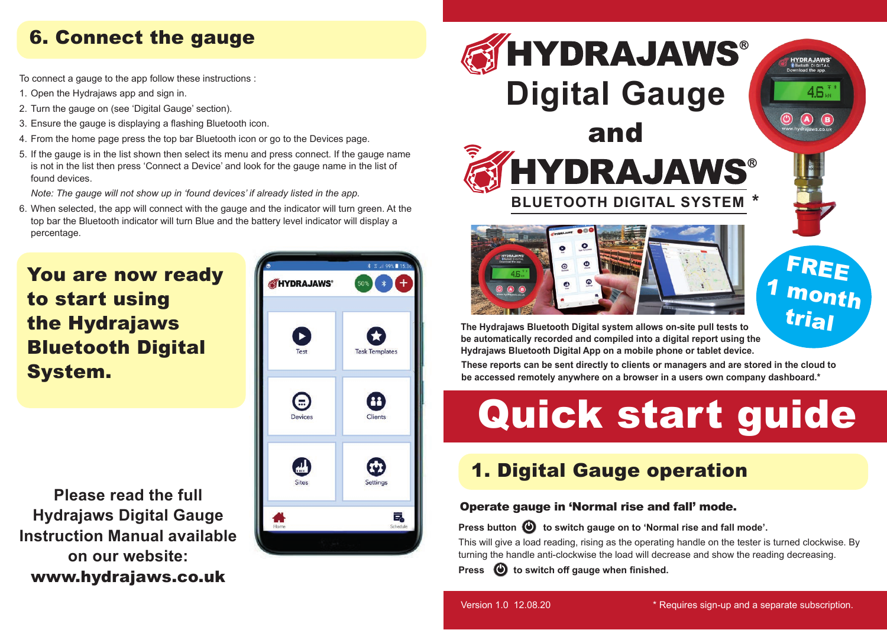## 6. Connect the gauge

To connect a gauge to the app follow these instructions :

- 1. Open the Hydrajaws app and sign in.
- 2. Turn the gauge on (see 'Digital Gauge' section).
- 3. Ensure the gauge is displaying a flashing Bluetooth icon.
- 4. From the home page press the top bar Bluetooth icon or go to the Devices page.
- 5. If the gauge is in the list shown then select its menu and press connect. If the gauge name is not in the list then press 'Connect a Device' and look for the gauge name in the list of found devices.

*Note: The gauge will not show up in 'found devices' if already listed in the app.*

6. When selected, the app will connect with the gauge and the indicator will turn green. At the top bar the Bluetooth indicator will turn Blue and the battery level indicator will display a percentage.

## You are now ready to start using the Hydrajaws Bluetooth Digital System.

**Please read the full Hydrajaws Digital Gauge Instruction Manual available on our website:** www.hydrajaws.co.uk





**Press button**  $\bullet$  to switch gauge on to 'Normal rise and fall mode'.

This will give a load reading, rising as the operating handle on the tester is turned clockwise. By<br>turning the handle anti-clockwise the load will decrease and show the reading decreasing. turning the handle anti-clockwise the load will decrease and show the reading decreasing.

**System** Section of the red will desired and show the red<br> **System of the system of the system of the system of the system of the system of the system of the system of the system of the system of the system of the system o Press**  $\bigcirc$  to switch off gauge when finished.